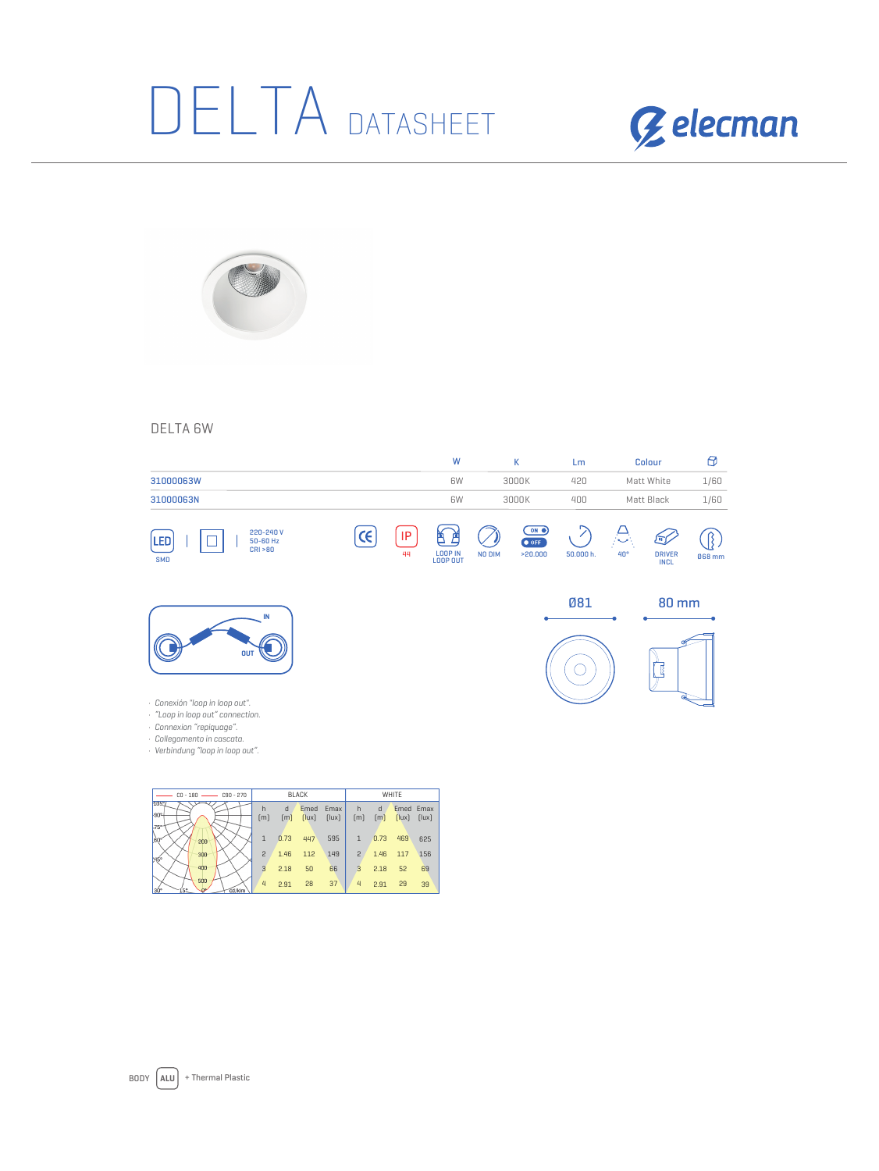## DELTA DATASHEET





## DELTA 6W

|                                                                                                                                          |       |          | W                             | K      |                                                                                | Lm         | <b>Colour</b> |                                   | Θ      |
|------------------------------------------------------------------------------------------------------------------------------------------|-------|----------|-------------------------------|--------|--------------------------------------------------------------------------------|------------|---------------|-----------------------------------|--------|
| 31000063W                                                                                                                                |       |          | 6W                            |        | 3000K                                                                          | 420        |               | Matt White                        | 1/60   |
| 31000063N                                                                                                                                |       |          | 6W                            |        | 3000K                                                                          | 400        |               | Matt Black                        | 1/60   |
| 220-240 V<br>LED<br>50-60 Hz<br>CRI > 80<br><b>SMD</b>                                                                                   | $\in$ | IP<br>44 | Р<br>E<br>LOOP IN<br>LOOP OUT | NO DIM | $\overline{\mathbf{C}}$ on $\overline{\mathbf{C}}$<br>$\bullet$ OFF<br>>20.000 | 50.000 h.  | 40°           | 厅<br><b>DRIVER</b><br><b>INCL</b> | 068 mm |
| IN<br><b>OUT</b><br>Conexión "loop in loop out".<br>"Loop in loop out" connection.<br>Connexion "repiquage".<br>Collegamento in cascata. |       |          |                               |        |                                                                                | <b>Ø81</b> |               | <b>80 mm</b>                      |        |

· Collegamento in cascata. · Verbindung "loop in loop out".

| $CD - 180$<br>$C90 - 270$                 | <b>BLACK</b>   |                        |               | WHITE         |                |                        |       |                    |
|-------------------------------------------|----------------|------------------------|---------------|---------------|----------------|------------------------|-------|--------------------|
| 1059<br>lgne                              | h<br>[m]       | h<br>$\lceil m \rceil$ | Emed<br>[lux] | Emax<br>[lux] | h<br>[m]       | d<br>$\lceil m \rceil$ | [lux] | Emed Emax<br>[lux] |
| $175$ <sup>e-1</sup><br><b>60°</b><br>200 | $\overline{1}$ | 0.73                   | 447           | 595           | $\overline{1}$ | 0.73                   | 469   | 625                |
| 300<br>l45°                               | 2              | 1.46                   | 112           | 149           | 2              | 1.46                   | 117   | 156                |
| 400                                       | 3              | 2.18                   | 50            | 66            | з              | 2.18                   | 52    | 69                 |
| 500<br>30°<br>no<br>í5°.<br>cd/klm        | 4              | 2.91                   | 28            | 37            | 4              | 2.91                   | 29    | 39                 |